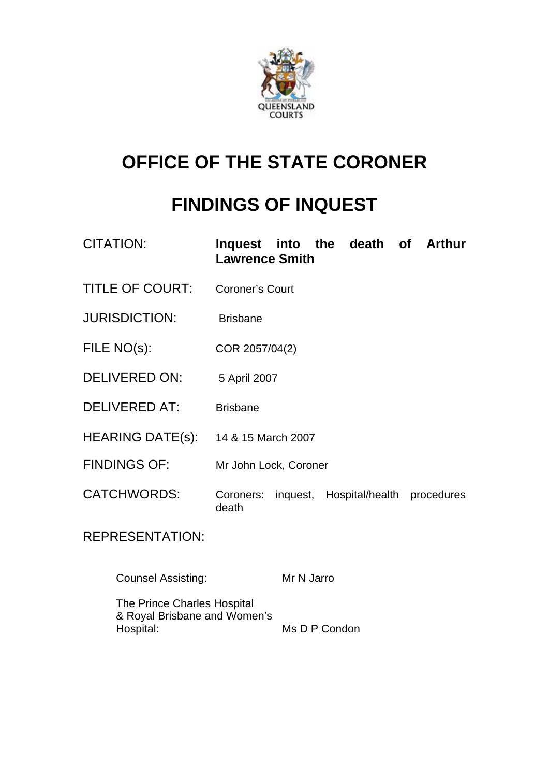

# **OFFICE OF THE STATE CORONER**

# **FINDINGS OF INQUEST**

| <b>CITATION:</b>       | Inquest into the death of Arthur<br><b>Lawrence Smith</b> |
|------------------------|-----------------------------------------------------------|
| <b>TITLE OF COURT:</b> | <b>Coroner's Court</b>                                    |
| <b>JURISDICTION:</b>   | <b>Brisbane</b>                                           |
| FILE NO(s):            | COR 2057/04(2)                                            |
| <b>DELIVERED ON:</b>   | 5 April 2007                                              |
| <b>DELIVERED AT:</b>   | <b>Brisbane</b>                                           |
| HEARING DATE(s):       | 14 & 15 March 2007                                        |
| <b>FINDINGS OF:</b>    | Mr John Lock, Coroner                                     |
| <b>CATCHWORDS:</b>     | Coroners: inquest, Hospital/health procedures<br>death    |
| <b>REPRESENTATION:</b> |                                                           |

ATION

Counsel Assisting: Mr N Jarro

The Prince Charles Hospital & Royal Brisbane and Women's<br>Hospital: Ms D P Condon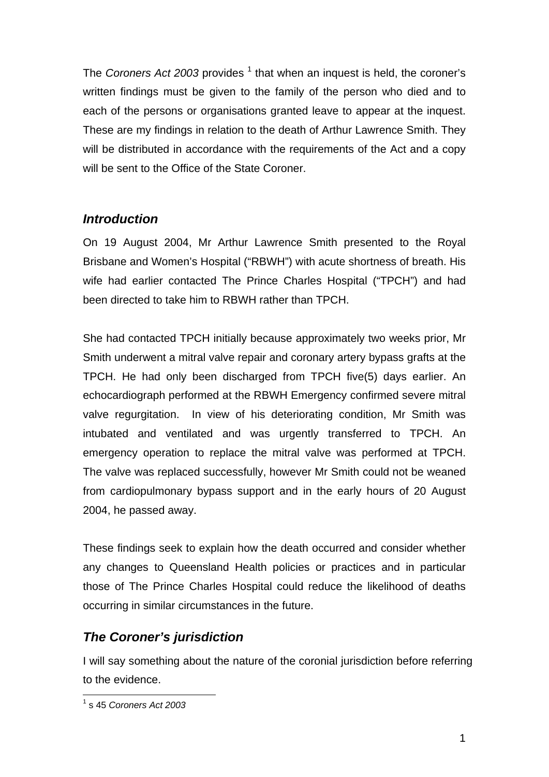The *Coroners Act 2003* provides <sup>1</sup> that when an inquest is held, the coroner's written findings must be given to the family of the person who died and to each of the persons or organisations granted leave to appear at the inquest. These are my findings in relation to the death of Arthur Lawrence Smith. They will be distributed in accordance with the requirements of the Act and a copy will be sent to the Office of the State Coroner.

# *Introduction*

On 19 August 2004, Mr Arthur Lawrence Smith presented to the Royal Brisbane and Women's Hospital ("RBWH") with acute shortness of breath. His wife had earlier contacted The Prince Charles Hospital ("TPCH") and had been directed to take him to RBWH rather than TPCH.

She had contacted TPCH initially because approximately two weeks prior, Mr Smith underwent a mitral valve repair and coronary artery bypass grafts at the TPCH. He had only been discharged from TPCH five(5) days earlier. An echocardiograph performed at the RBWH Emergency confirmed severe mitral valve regurgitation. In view of his deteriorating condition, Mr Smith was intubated and ventilated and was urgently transferred to TPCH. An emergency operation to replace the mitral valve was performed at TPCH. The valve was replaced successfully, however Mr Smith could not be weaned from cardiopulmonary bypass support and in the early hours of 20 August 2004, he passed away.

These findings seek to explain how the death occurred and consider whether any changes to Queensland Health policies or practices and in particular those of The Prince Charles Hospital could reduce the likelihood of deaths occurring in similar circumstances in the future.

# *The Coroner's jurisdiction*

I will say something about the nature of the coronial jurisdiction before referring to the evidence.

 1 s 45 *Coroners Act 2003*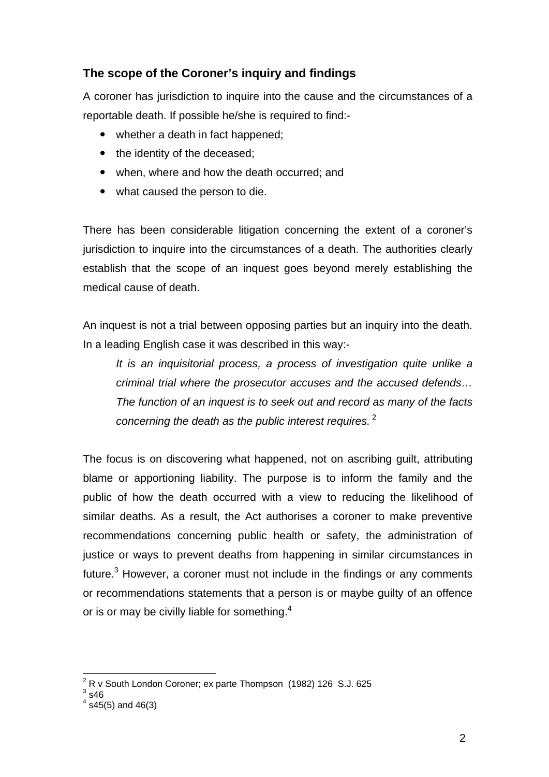## **The scope of the Coroner's inquiry and findings**

A coroner has jurisdiction to inquire into the cause and the circumstances of a reportable death. If possible he/she is required to find:-

- whether a death in fact happened;
- the identity of the deceased;
- when, where and how the death occurred; and
- what caused the person to die.

There has been considerable litigation concerning the extent of a coroner's jurisdiction to inquire into the circumstances of a death. The authorities clearly establish that the scope of an inquest goes beyond merely establishing the medical cause of death.

An inquest is not a trial between opposing parties but an inquiry into the death. In a leading English case it was described in this way:-

*It is an inquisitorial process, a process of investigation quite unlike a criminal trial where the prosecutor accuses and the accused defends… The function of an inquest is to seek out and record as many of the facts concerning the death as the public interest requires.*<sup>2</sup>

The focus is on discovering what happened, not on ascribing guilt, attributing blame or apportioning liability. The purpose is to inform the family and the public of how the death occurred with a view to reducing the likelihood of similar deaths. As a result, the Act authorises a coroner to make preventive recommendations concerning public health or safety, the administration of justice or ways to prevent deaths from happening in similar circumstances in future. $3$  However, a coroner must not include in the findings or any comments or recommendations statements that a person is or maybe guilty of an offence or is or may be civilly liable for something.<sup>4</sup>

<sup>1</sup>  $2^2$  R v South London Coroner; ex parte Thompson (1982) 126 S.J. 625

 $3$  s46

 $4$  s45(5) and 46(3)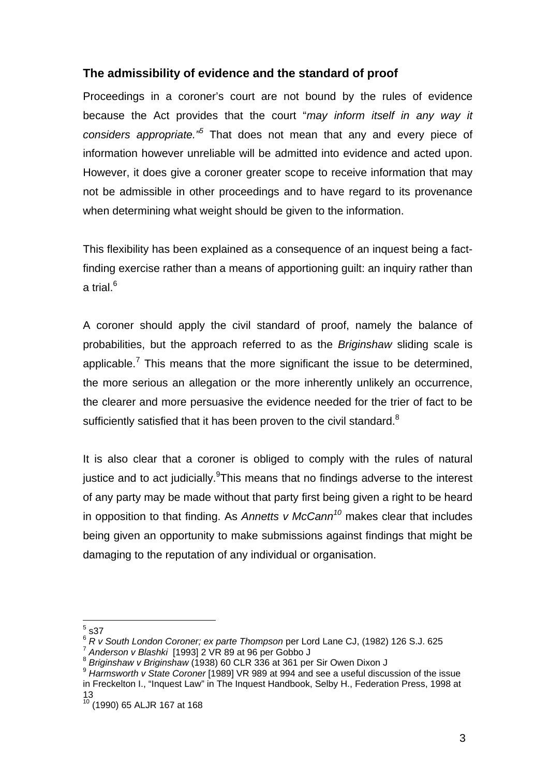### **The admissibility of evidence and the standard of proof**

Proceedings in a coroner's court are not bound by the rules of evidence because the Act provides that the court "*may inform itself in any way it considers appropriate."5* That does not mean that any and every piece of information however unreliable will be admitted into evidence and acted upon. However, it does give a coroner greater scope to receive information that may not be admissible in other proceedings and to have regard to its provenance when determining what weight should be given to the information.

This flexibility has been explained as a consequence of an inquest being a factfinding exercise rather than a means of apportioning guilt: an inquiry rather than a trial.<sup>6</sup>

A coroner should apply the civil standard of proof, namely the balance of probabilities, but the approach referred to as the *Briginshaw* sliding scale is applicable.<sup>7</sup> This means that the more significant the issue to be determined, the more serious an allegation or the more inherently unlikely an occurrence, the clearer and more persuasive the evidence needed for the trier of fact to be sufficiently satisfied that it has been proven to the civil standard. $8$ 

It is also clear that a coroner is obliged to comply with the rules of natural justice and to act judicially. This means that no findings adverse to the interest of any party may be made without that party first being given a right to be heard in opposition to that finding. As *Annetts v McCann<sup>10</sup>* makes clear that includes being given an opportunity to make submissions against findings that might be damaging to the reputation of any individual or organisation.

 $\frac{1}{5}$  s37

<sup>&</sup>lt;sup>6</sup> R v South London Coroner; ex parte Thompson per Lord Lane CJ, (1982) 126 S.J. 625<br>
<sup>7</sup> Anderson v Blashki [1993] 2 VR 89 at 96 per Gobbo J<br>
<sup>8</sup> Briginshaw v Briginshaw (1938) 60 CLR 336 at 361 per Sir Owen Dixon J<br>
<sup>9</sup>

in Freckelton I., "Inquest Law" in The Inquest Handbook, Selby H., Federation Press, 1998 at 13

<sup>10 (1990) 65</sup> ALJR 167 at 168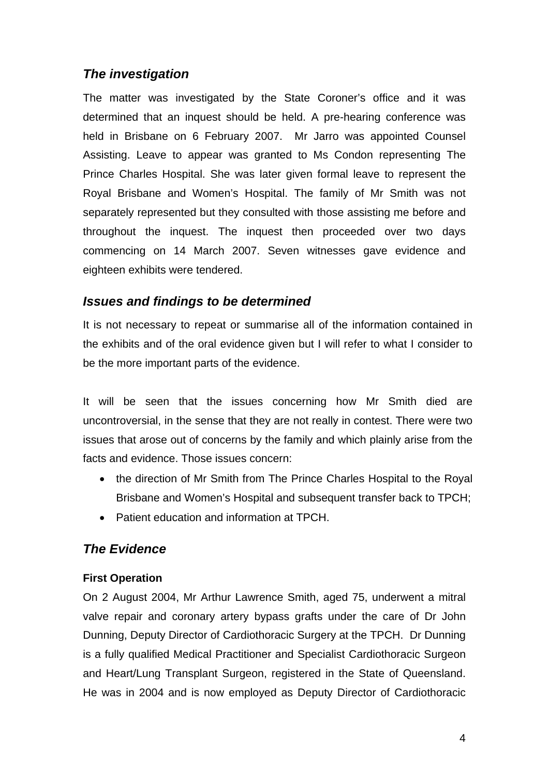# *The investigation*

The matter was investigated by the State Coroner's office and it was determined that an inquest should be held. A pre-hearing conference was held in Brisbane on 6 February 2007. Mr Jarro was appointed Counsel Assisting. Leave to appear was granted to Ms Condon representing The Prince Charles Hospital. She was later given formal leave to represent the Royal Brisbane and Women's Hospital. The family of Mr Smith was not separately represented but they consulted with those assisting me before and throughout the inquest. The inquest then proceeded over two days commencing on 14 March 2007. Seven witnesses gave evidence and eighteen exhibits were tendered.

## *Issues and findings to be determined*

It is not necessary to repeat or summarise all of the information contained in the exhibits and of the oral evidence given but I will refer to what I consider to be the more important parts of the evidence.

It will be seen that the issues concerning how Mr Smith died are uncontroversial, in the sense that they are not really in contest. There were two issues that arose out of concerns by the family and which plainly arise from the facts and evidence. Those issues concern:

- the direction of Mr Smith from The Prince Charles Hospital to the Royal Brisbane and Women's Hospital and subsequent transfer back to TPCH;
- Patient education and information at TPCH.

# *The Evidence*

#### **First Operation**

On 2 August 2004, Mr Arthur Lawrence Smith, aged 75, underwent a mitral valve repair and coronary artery bypass grafts under the care of Dr John Dunning, Deputy Director of Cardiothoracic Surgery at the TPCH. Dr Dunning is a fully qualified Medical Practitioner and Specialist Cardiothoracic Surgeon and Heart/Lung Transplant Surgeon, registered in the State of Queensland. He was in 2004 and is now employed as Deputy Director of Cardiothoracic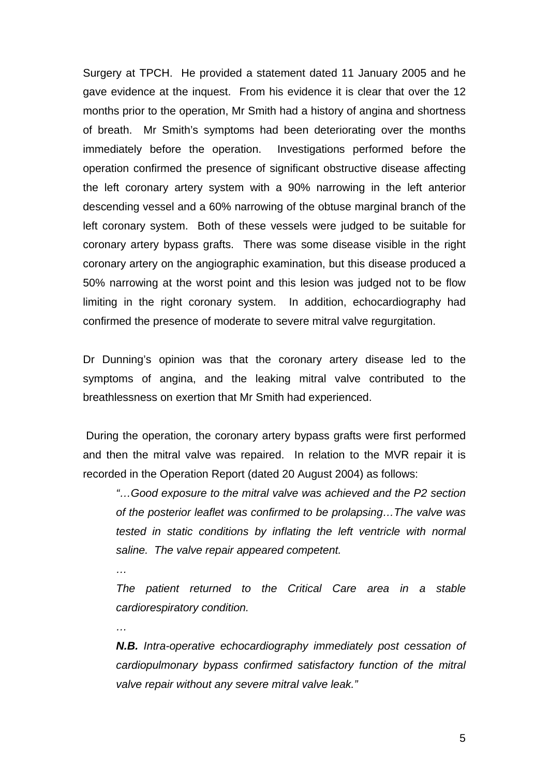Surgery at TPCH. He provided a statement dated 11 January 2005 and he gave evidence at the inquest. From his evidence it is clear that over the 12 months prior to the operation, Mr Smith had a history of angina and shortness of breath. Mr Smith's symptoms had been deteriorating over the months immediately before the operation. Investigations performed before the operation confirmed the presence of significant obstructive disease affecting the left coronary artery system with a 90% narrowing in the left anterior descending vessel and a 60% narrowing of the obtuse marginal branch of the left coronary system. Both of these vessels were judged to be suitable for coronary artery bypass grafts. There was some disease visible in the right coronary artery on the angiographic examination, but this disease produced a 50% narrowing at the worst point and this lesion was judged not to be flow limiting in the right coronary system. In addition, echocardiography had confirmed the presence of moderate to severe mitral valve regurgitation.

Dr Dunning's opinion was that the coronary artery disease led to the symptoms of angina, and the leaking mitral valve contributed to the breathlessness on exertion that Mr Smith had experienced.

 During the operation, the coronary artery bypass grafts were first performed and then the mitral valve was repaired. In relation to the MVR repair it is recorded in the Operation Report (dated 20 August 2004) as follows:

*…* 

*…* 

*"…Good exposure to the mitral valve was achieved and the P2 section of the posterior leaflet was confirmed to be prolapsing…The valve was tested in static conditions by inflating the left ventricle with normal saline. The valve repair appeared competent.* 

*The patient returned to the Critical Care area in a stable cardiorespiratory condition.* 

*N.B. Intra-operative echocardiography immediately post cessation of cardiopulmonary bypass confirmed satisfactory function of the mitral valve repair without any severe mitral valve leak."*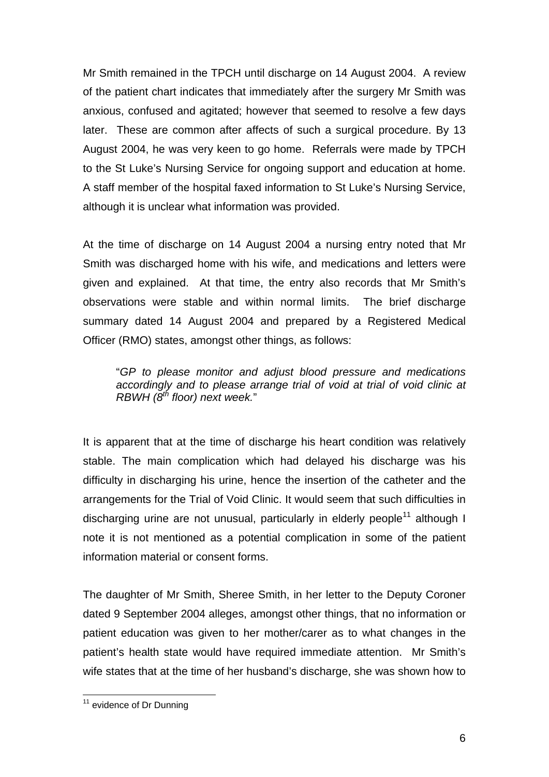Mr Smith remained in the TPCH until discharge on 14 August 2004. A review of the patient chart indicates that immediately after the surgery Mr Smith was anxious, confused and agitated; however that seemed to resolve a few days later. These are common after affects of such a surgical procedure. By 13 August 2004, he was very keen to go home. Referrals were made by TPCH to the St Luke's Nursing Service for ongoing support and education at home. A staff member of the hospital faxed information to St Luke's Nursing Service, although it is unclear what information was provided.

At the time of discharge on 14 August 2004 a nursing entry noted that Mr Smith was discharged home with his wife, and medications and letters were given and explained. At that time, the entry also records that Mr Smith's observations were stable and within normal limits. The brief discharge summary dated 14 August 2004 and prepared by a Registered Medical Officer (RMO) states, amongst other things, as follows:

"*GP to please monitor and adjust blood pressure and medications accordingly and to please arrange trial of void at trial of void clinic at RBWH (8th floor) next week.*"

It is apparent that at the time of discharge his heart condition was relatively stable. The main complication which had delayed his discharge was his difficulty in discharging his urine, hence the insertion of the catheter and the arrangements for the Trial of Void Clinic. It would seem that such difficulties in discharging urine are not unusual, particularly in elderly people<sup>11</sup> although I note it is not mentioned as a potential complication in some of the patient information material or consent forms.

The daughter of Mr Smith, Sheree Smith, in her letter to the Deputy Coroner dated 9 September 2004 alleges, amongst other things, that no information or patient education was given to her mother/carer as to what changes in the patient's health state would have required immediate attention. Mr Smith's wife states that at the time of her husband's discharge, she was shown how to

 $11$  evidence of Dr Dunning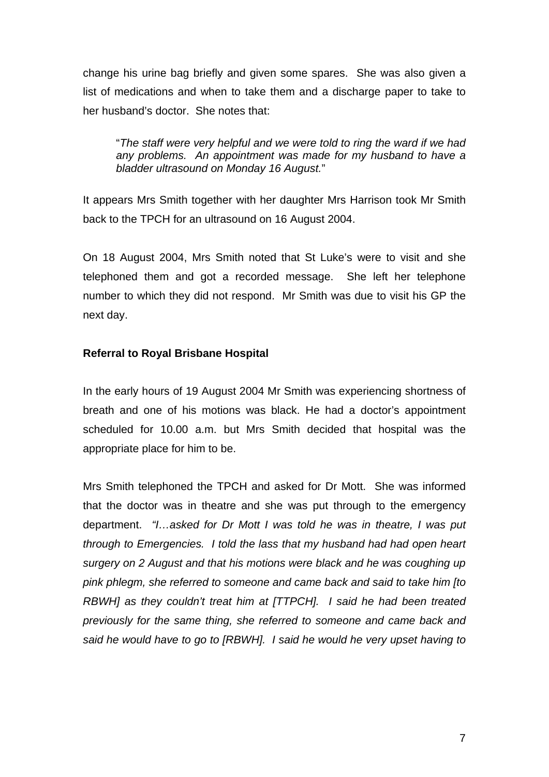change his urine bag briefly and given some spares. She was also given a list of medications and when to take them and a discharge paper to take to her husband's doctor. She notes that:

"*The staff were very helpful and we were told to ring the ward if we had any problems. An appointment was made for my husband to have a bladder ultrasound on Monday 16 August.*"

It appears Mrs Smith together with her daughter Mrs Harrison took Mr Smith back to the TPCH for an ultrasound on 16 August 2004.

On 18 August 2004, Mrs Smith noted that St Luke's were to visit and she telephoned them and got a recorded message. She left her telephone number to which they did not respond. Mr Smith was due to visit his GP the next day.

#### **Referral to Royal Brisbane Hospital**

In the early hours of 19 August 2004 Mr Smith was experiencing shortness of breath and one of his motions was black. He had a doctor's appointment scheduled for 10.00 a.m. but Mrs Smith decided that hospital was the appropriate place for him to be.

Mrs Smith telephoned the TPCH and asked for Dr Mott. She was informed that the doctor was in theatre and she was put through to the emergency department. *"I…asked for Dr Mott I was told he was in theatre, I was put through to Emergencies. I told the lass that my husband had had open heart surgery on 2 August and that his motions were black and he was coughing up pink phlegm, she referred to someone and came back and said to take him [to RBWH] as they couldn't treat him at [TTPCH]. I said he had been treated previously for the same thing, she referred to someone and came back and said he would have to go to [RBWH]. I said he would he very upset having to*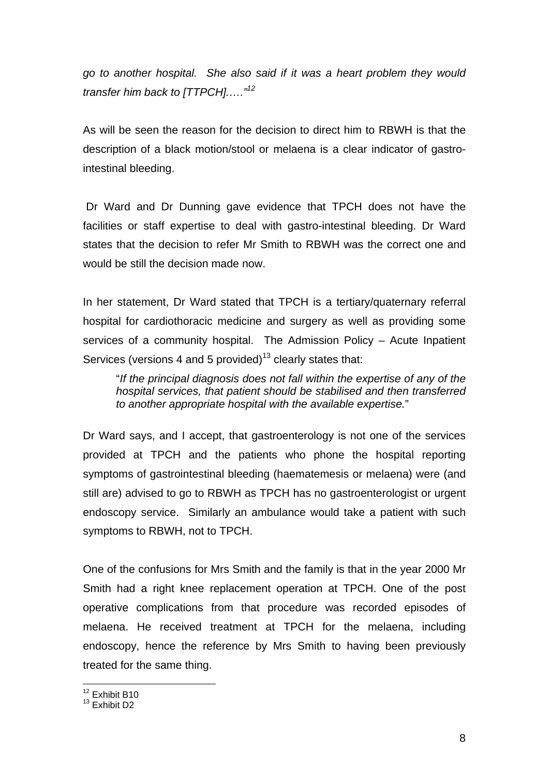*go to another hospital. She also said if it was a heart problem they would transfer him back to [TTPCH].…."12*

As will be seen the reason for the decision to direct him to RBWH is that the description of a black motion/stool or melaena is a clear indicator of gastrointestinal bleeding.

 Dr Ward and Dr Dunning gave evidence that TPCH does not have the facilities or staff expertise to deal with gastro-intestinal bleeding. Dr Ward states that the decision to refer Mr Smith to RBWH was the correct one and would be still the decision made now.

In her statement, Dr Ward stated that TPCH is a tertiary/quaternary referral hospital for cardiothoracic medicine and surgery as well as providing some services of a community hospital. The Admission Policy – Acute Inpatient Services (versions 4 and 5 provided)<sup>13</sup> clearly states that:

"*If the principal diagnosis does not fall within the expertise of any of the hospital services, that patient should be stabilised and then transferred to another appropriate hospital with the available expertise.*"

Dr Ward says, and I accept, that gastroenterology is not one of the services provided at TPCH and the patients who phone the hospital reporting symptoms of gastrointestinal bleeding (haematemesis or melaena) were (and still are) advised to go to RBWH as TPCH has no gastroenterologist or urgent endoscopy service. Similarly an ambulance would take a patient with such symptoms to RBWH, not to TPCH.

One of the confusions for Mrs Smith and the family is that in the year 2000 Mr Smith had a right knee replacement operation at TPCH. One of the post operative complications from that procedure was recorded episodes of melaena. He received treatment at TPCH for the melaena, including endoscopy, hence the reference by Mrs Smith to having been previously treated for the same thing.

<sup>&</sup>lt;sup>12</sup> Exhibit B10

<sup>&</sup>lt;sup>13</sup> Fxhibit D<sub>2</sub>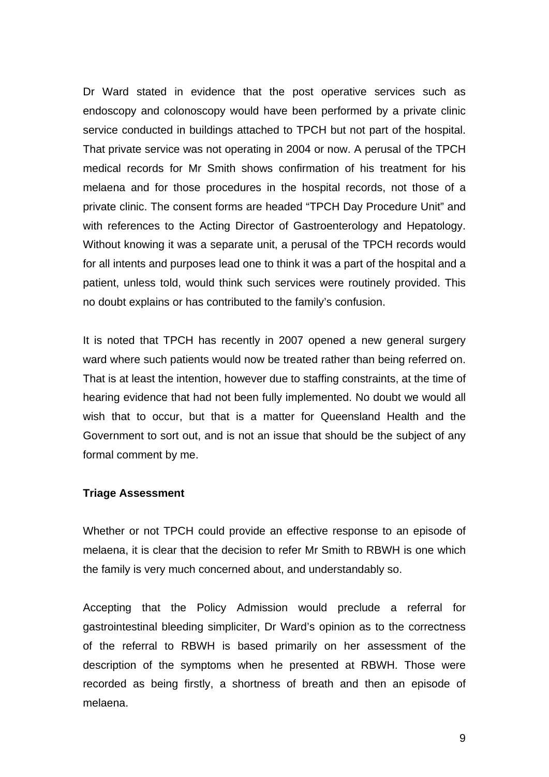Dr Ward stated in evidence that the post operative services such as endoscopy and colonoscopy would have been performed by a private clinic service conducted in buildings attached to TPCH but not part of the hospital. That private service was not operating in 2004 or now. A perusal of the TPCH medical records for Mr Smith shows confirmation of his treatment for his melaena and for those procedures in the hospital records, not those of a private clinic. The consent forms are headed "TPCH Day Procedure Unit" and with references to the Acting Director of Gastroenterology and Hepatology. Without knowing it was a separate unit, a perusal of the TPCH records would for all intents and purposes lead one to think it was a part of the hospital and a patient, unless told, would think such services were routinely provided. This no doubt explains or has contributed to the family's confusion.

It is noted that TPCH has recently in 2007 opened a new general surgery ward where such patients would now be treated rather than being referred on. That is at least the intention, however due to staffing constraints, at the time of hearing evidence that had not been fully implemented. No doubt we would all wish that to occur, but that is a matter for Queensland Health and the Government to sort out, and is not an issue that should be the subject of any formal comment by me.

#### **Triage Assessment**

Whether or not TPCH could provide an effective response to an episode of melaena, it is clear that the decision to refer Mr Smith to RBWH is one which the family is very much concerned about, and understandably so.

Accepting that the Policy Admission would preclude a referral for gastrointestinal bleeding simpliciter, Dr Ward's opinion as to the correctness of the referral to RBWH is based primarily on her assessment of the description of the symptoms when he presented at RBWH. Those were recorded as being firstly, a shortness of breath and then an episode of melaena.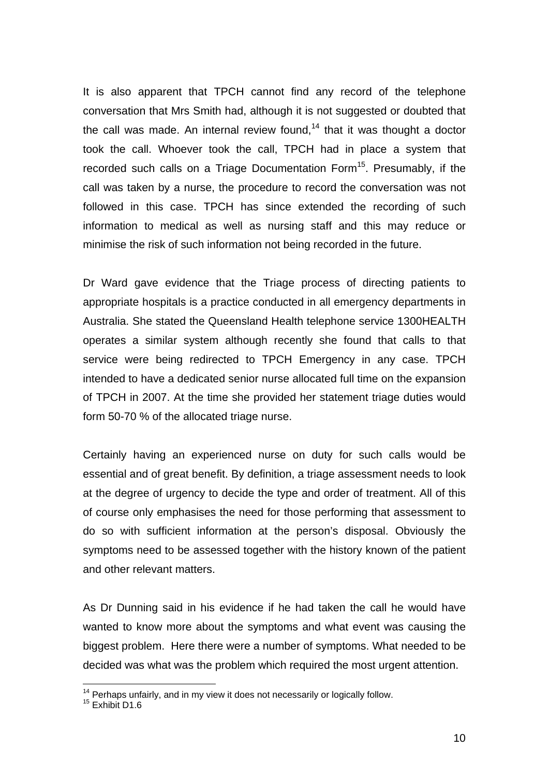It is also apparent that TPCH cannot find any record of the telephone conversation that Mrs Smith had, although it is not suggested or doubted that the call was made. An internal review found,<sup>14</sup> that it was thought a doctor took the call. Whoever took the call, TPCH had in place a system that recorded such calls on a Triage Documentation Form<sup>15</sup>. Presumably, if the call was taken by a nurse, the procedure to record the conversation was not followed in this case. TPCH has since extended the recording of such information to medical as well as nursing staff and this may reduce or minimise the risk of such information not being recorded in the future.

Dr Ward gave evidence that the Triage process of directing patients to appropriate hospitals is a practice conducted in all emergency departments in Australia. She stated the Queensland Health telephone service 1300HEALTH operates a similar system although recently she found that calls to that service were being redirected to TPCH Emergency in any case. TPCH intended to have a dedicated senior nurse allocated full time on the expansion of TPCH in 2007. At the time she provided her statement triage duties would form 50-70 % of the allocated triage nurse.

Certainly having an experienced nurse on duty for such calls would be essential and of great benefit. By definition, a triage assessment needs to look at the degree of urgency to decide the type and order of treatment. All of this of course only emphasises the need for those performing that assessment to do so with sufficient information at the person's disposal. Obviously the symptoms need to be assessed together with the history known of the patient and other relevant matters.

As Dr Dunning said in his evidence if he had taken the call he would have wanted to know more about the symptoms and what event was causing the biggest problem. Here there were a number of symptoms. What needed to be decided was what was the problem which required the most urgent attention.

<sup>&</sup>lt;sup>14</sup> Perhaps unfairly, and in my view it does not necessarily or logically follow.<br><sup>15</sup> Exhibit D1.6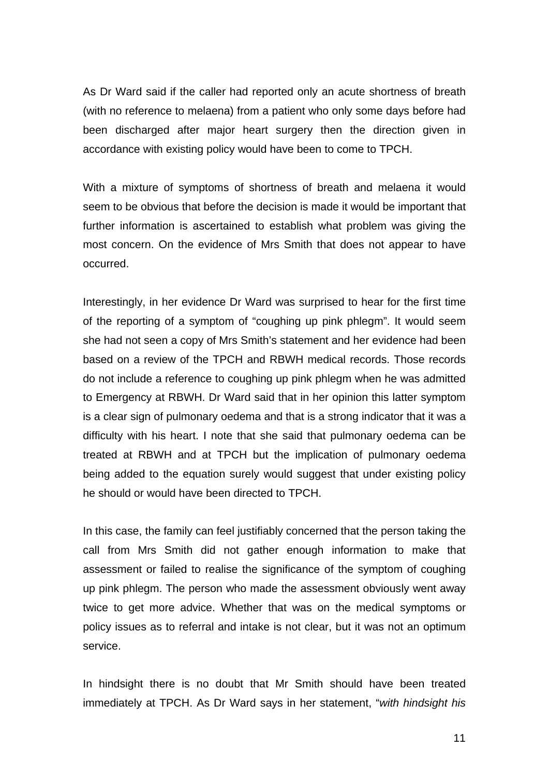As Dr Ward said if the caller had reported only an acute shortness of breath (with no reference to melaena) from a patient who only some days before had been discharged after major heart surgery then the direction given in accordance with existing policy would have been to come to TPCH.

With a mixture of symptoms of shortness of breath and melaena it would seem to be obvious that before the decision is made it would be important that further information is ascertained to establish what problem was giving the most concern. On the evidence of Mrs Smith that does not appear to have occurred.

Interestingly, in her evidence Dr Ward was surprised to hear for the first time of the reporting of a symptom of "coughing up pink phlegm". It would seem she had not seen a copy of Mrs Smith's statement and her evidence had been based on a review of the TPCH and RBWH medical records. Those records do not include a reference to coughing up pink phlegm when he was admitted to Emergency at RBWH. Dr Ward said that in her opinion this latter symptom is a clear sign of pulmonary oedema and that is a strong indicator that it was a difficulty with his heart. I note that she said that pulmonary oedema can be treated at RBWH and at TPCH but the implication of pulmonary oedema being added to the equation surely would suggest that under existing policy he should or would have been directed to TPCH.

In this case, the family can feel justifiably concerned that the person taking the call from Mrs Smith did not gather enough information to make that assessment or failed to realise the significance of the symptom of coughing up pink phlegm. The person who made the assessment obviously went away twice to get more advice. Whether that was on the medical symptoms or policy issues as to referral and intake is not clear, but it was not an optimum service.

In hindsight there is no doubt that Mr Smith should have been treated immediately at TPCH. As Dr Ward says in her statement, "*with hindsight his*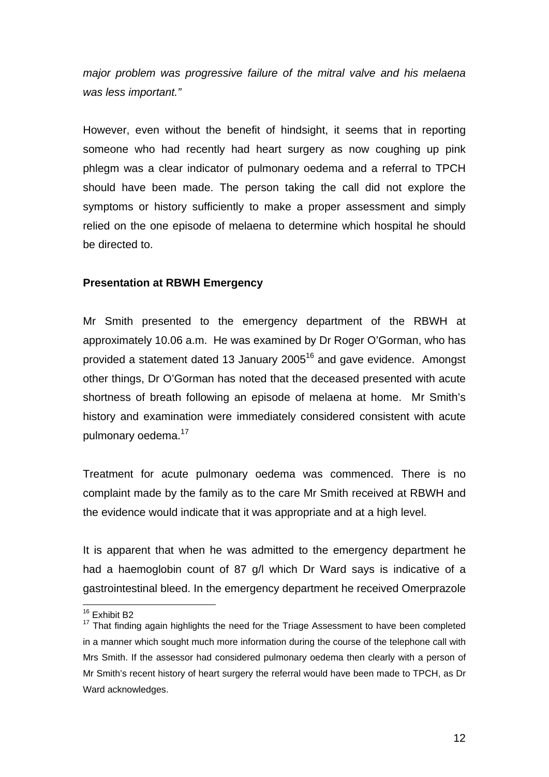*major problem was progressive failure of the mitral valve and his melaena was less important."* 

However, even without the benefit of hindsight, it seems that in reporting someone who had recently had heart surgery as now coughing up pink phlegm was a clear indicator of pulmonary oedema and a referral to TPCH should have been made. The person taking the call did not explore the symptoms or history sufficiently to make a proper assessment and simply relied on the one episode of melaena to determine which hospital he should be directed to.

#### **Presentation at RBWH Emergency**

Mr Smith presented to the emergency department of the RBWH at approximately 10.06 a.m. He was examined by Dr Roger O'Gorman, who has provided a statement dated 13 January 2005 $16$  and gave evidence. Amongst other things, Dr O'Gorman has noted that the deceased presented with acute shortness of breath following an episode of melaena at home. Mr Smith's history and examination were immediately considered consistent with acute pulmonary oedema.<sup>17</sup>

Treatment for acute pulmonary oedema was commenced. There is no complaint made by the family as to the care Mr Smith received at RBWH and the evidence would indicate that it was appropriate and at a high level.

It is apparent that when he was admitted to the emergency department he had a haemoglobin count of 87 g/l which Dr Ward says is indicative of a gastrointestinal bleed. In the emergency department he received Omerprazole

<sup>&</sup>lt;sup>16</sup> Exhibit B2

<sup>&</sup>lt;sup>17</sup> That finding again highlights the need for the Triage Assessment to have been completed in a manner which sought much more information during the course of the telephone call with Mrs Smith. If the assessor had considered pulmonary oedema then clearly with a person of Mr Smith's recent history of heart surgery the referral would have been made to TPCH, as Dr Ward acknowledges.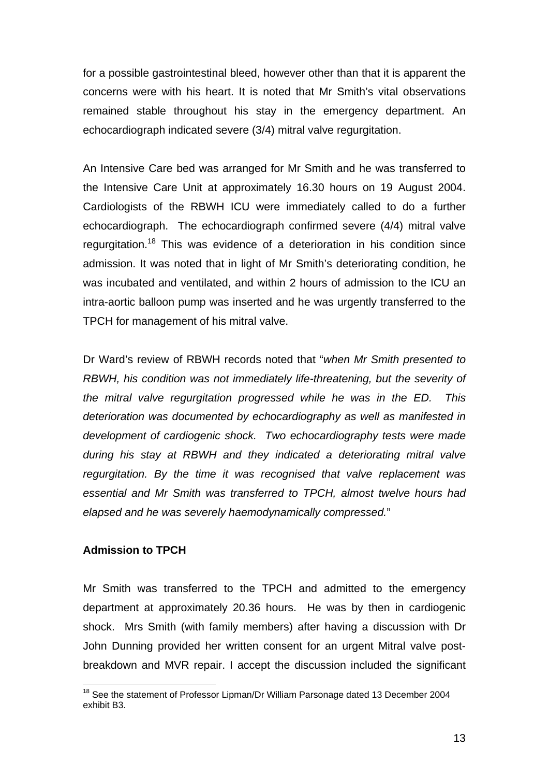for a possible gastrointestinal bleed, however other than that it is apparent the concerns were with his heart. It is noted that Mr Smith's vital observations remained stable throughout his stay in the emergency department. An echocardiograph indicated severe (3/4) mitral valve regurgitation.

An Intensive Care bed was arranged for Mr Smith and he was transferred to the Intensive Care Unit at approximately 16.30 hours on 19 August 2004. Cardiologists of the RBWH ICU were immediately called to do a further echocardiograph. The echocardiograph confirmed severe (4/4) mitral valve regurgitation.<sup>18</sup> This was evidence of a deterioration in his condition since admission. It was noted that in light of Mr Smith's deteriorating condition, he was incubated and ventilated, and within 2 hours of admission to the ICU an intra-aortic balloon pump was inserted and he was urgently transferred to the TPCH for management of his mitral valve.

Dr Ward's review of RBWH records noted that "*when Mr Smith presented to RBWH, his condition was not immediately life-threatening, but the severity of the mitral valve regurgitation progressed while he was in the ED. This deterioration was documented by echocardiography as well as manifested in development of cardiogenic shock. Two echocardiography tests were made during his stay at RBWH and they indicated a deteriorating mitral valve regurgitation. By the time it was recognised that valve replacement was essential and Mr Smith was transferred to TPCH, almost twelve hours had elapsed and he was severely haemodynamically compressed.*"

#### **Admission to TPCH**

Mr Smith was transferred to the TPCH and admitted to the emergency department at approximately 20.36 hours. He was by then in cardiogenic shock. Mrs Smith (with family members) after having a discussion with Dr John Dunning provided her written consent for an urgent Mitral valve postbreakdown and MVR repair. I accept the discussion included the significant

<sup>1</sup> <sup>18</sup> See the statement of Professor Lipman/Dr William Parsonage dated 13 December 2004 exhibit B3.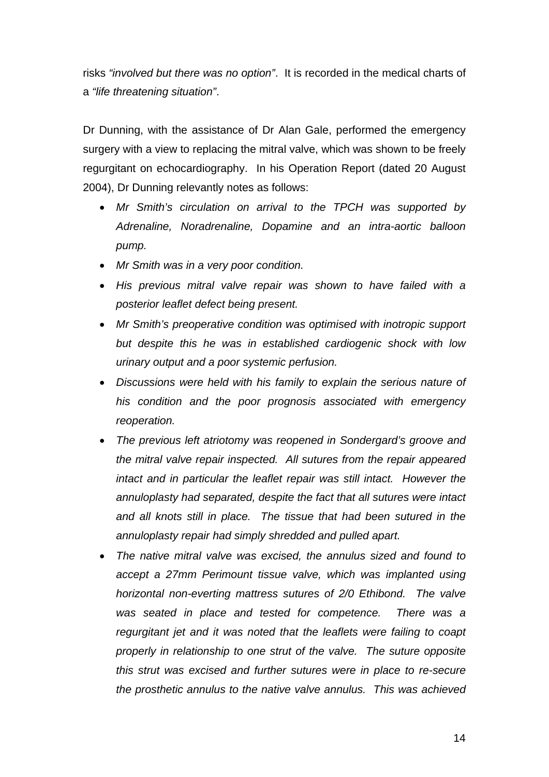risks *"involved but there was no option"*. It is recorded in the medical charts of a *"life threatening situation"*.

Dr Dunning, with the assistance of Dr Alan Gale, performed the emergency surgery with a view to replacing the mitral valve, which was shown to be freely regurgitant on echocardiography. In his Operation Report (dated 20 August 2004), Dr Dunning relevantly notes as follows:

- *Mr Smith's circulation on arrival to the TPCH was supported by Adrenaline, Noradrenaline, Dopamine and an intra-aortic balloon pump.*
- *Mr Smith was in a very poor condition.*
- *His previous mitral valve repair was shown to have failed with a posterior leaflet defect being present.*
- *Mr Smith's preoperative condition was optimised with inotropic support but despite this he was in established cardiogenic shock with low urinary output and a poor systemic perfusion.*
- *Discussions were held with his family to explain the serious nature of his condition and the poor prognosis associated with emergency reoperation.*
- *The previous left atriotomy was reopened in Sondergard's groove and the mitral valve repair inspected. All sutures from the repair appeared intact and in particular the leaflet repair was still intact. However the annuloplasty had separated, despite the fact that all sutures were intact and all knots still in place. The tissue that had been sutured in the annuloplasty repair had simply shredded and pulled apart.*
- *The native mitral valve was excised, the annulus sized and found to accept a 27mm Perimount tissue valve, which was implanted using horizontal non-everting mattress sutures of 2/0 Ethibond. The valve was seated in place and tested for competence. There was a regurgitant jet and it was noted that the leaflets were failing to coapt properly in relationship to one strut of the valve. The suture opposite this strut was excised and further sutures were in place to re-secure the prosthetic annulus to the native valve annulus. This was achieved*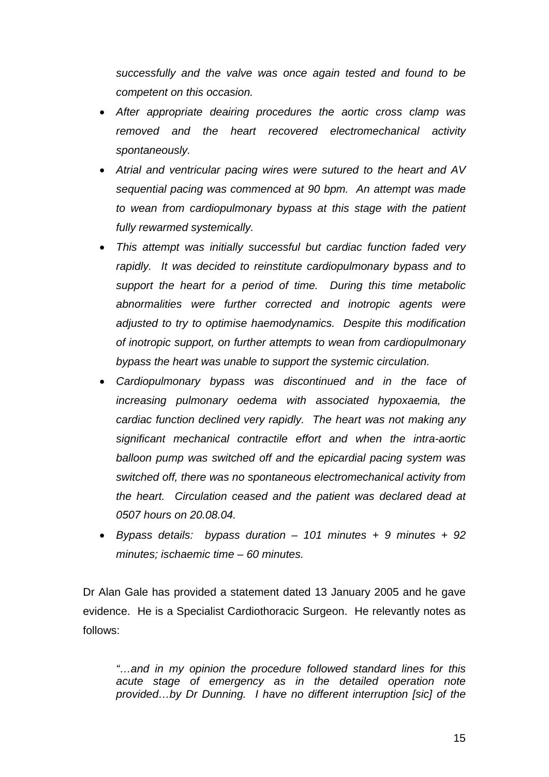*successfully and the valve was once again tested and found to be competent on this occasion.* 

- *After appropriate deairing procedures the aortic cross clamp was removed and the heart recovered electromechanical activity spontaneously.*
- *Atrial and ventricular pacing wires were sutured to the heart and AV sequential pacing was commenced at 90 bpm. An attempt was made to wean from cardiopulmonary bypass at this stage with the patient fully rewarmed systemically.*
- *This attempt was initially successful but cardiac function faded very rapidly. It was decided to reinstitute cardiopulmonary bypass and to support the heart for a period of time. During this time metabolic abnormalities were further corrected and inotropic agents were adjusted to try to optimise haemodynamics. Despite this modification of inotropic support, on further attempts to wean from cardiopulmonary bypass the heart was unable to support the systemic circulation.*
- *Cardiopulmonary bypass was discontinued and in the face of increasing pulmonary oedema with associated hypoxaemia, the cardiac function declined very rapidly. The heart was not making any significant mechanical contractile effort and when the intra-aortic balloon pump was switched off and the epicardial pacing system was switched off, there was no spontaneous electromechanical activity from the heart. Circulation ceased and the patient was declared dead at 0507 hours on 20.08.04.*
- *Bypass details: bypass duration 101 minutes + 9 minutes + 92 minutes; ischaemic time – 60 minutes.*

Dr Alan Gale has provided a statement dated 13 January 2005 and he gave evidence. He is a Specialist Cardiothoracic Surgeon. He relevantly notes as follows:

*"…and in my opinion the procedure followed standard lines for this acute stage of emergency as in the detailed operation note provided…by Dr Dunning. I have no different interruption [sic] of the*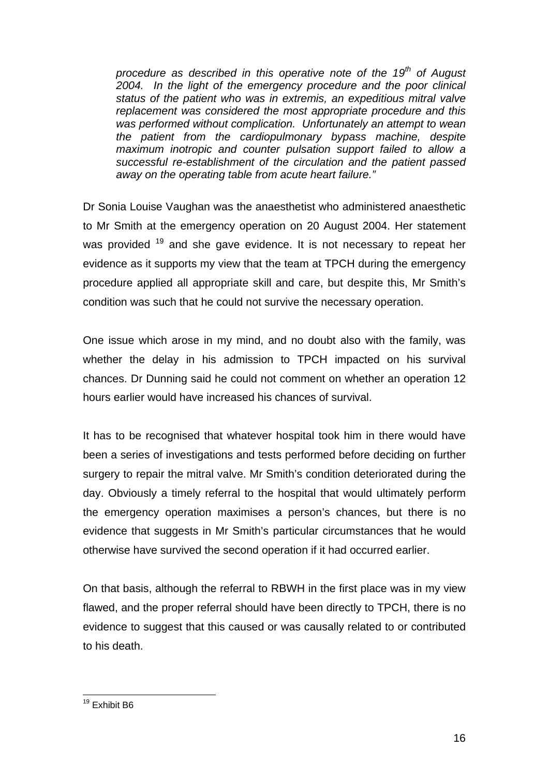*procedure as described in this operative note of the 19th of August 2004. In the light of the emergency procedure and the poor clinical status of the patient who was in extremis, an expeditious mitral valve replacement was considered the most appropriate procedure and this was performed without complication. Unfortunately an attempt to wean the patient from the cardiopulmonary bypass machine, despite maximum inotropic and counter pulsation support failed to allow a successful re-establishment of the circulation and the patient passed away on the operating table from acute heart failure."* 

Dr Sonia Louise Vaughan was the anaesthetist who administered anaesthetic to Mr Smith at the emergency operation on 20 August 2004. Her statement was provided  $19$  and she gave evidence. It is not necessary to repeat her evidence as it supports my view that the team at TPCH during the emergency procedure applied all appropriate skill and care, but despite this, Mr Smith's condition was such that he could not survive the necessary operation.

One issue which arose in my mind, and no doubt also with the family, was whether the delay in his admission to TPCH impacted on his survival chances. Dr Dunning said he could not comment on whether an operation 12 hours earlier would have increased his chances of survival.

It has to be recognised that whatever hospital took him in there would have been a series of investigations and tests performed before deciding on further surgery to repair the mitral valve. Mr Smith's condition deteriorated during the day. Obviously a timely referral to the hospital that would ultimately perform the emergency operation maximises a person's chances, but there is no evidence that suggests in Mr Smith's particular circumstances that he would otherwise have survived the second operation if it had occurred earlier.

On that basis, although the referral to RBWH in the first place was in my view flawed, and the proper referral should have been directly to TPCH, there is no evidence to suggest that this caused or was causally related to or contributed to his death.

<sup>1</sup> <sup>19</sup> Exhibit B6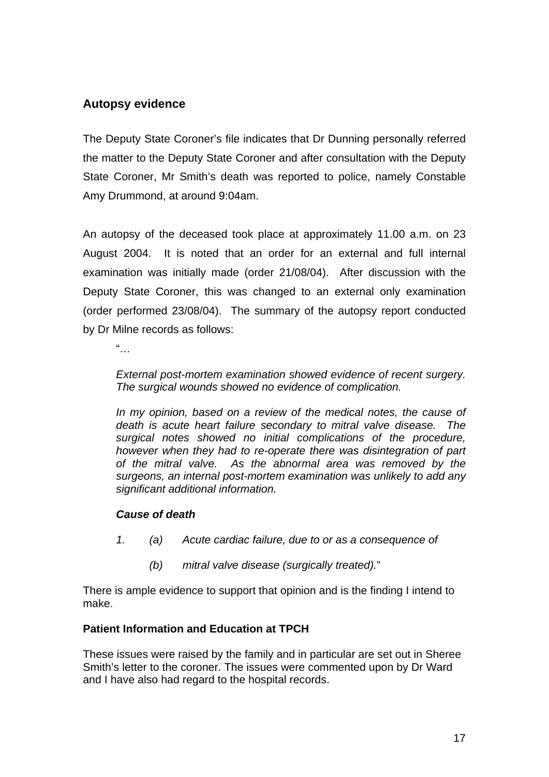### **Autopsy evidence**

The Deputy State Coroner's file indicates that Dr Dunning personally referred the matter to the Deputy State Coroner and after consultation with the Deputy State Coroner, Mr Smith's death was reported to police, namely Constable Amy Drummond, at around 9:04am.

An autopsy of the deceased took place at approximately 11.00 a.m. on 23 August 2004. It is noted that an order for an external and full internal examination was initially made (order 21/08/04). After discussion with the Deputy State Coroner, this was changed to an external only examination (order performed 23/08/04). The summary of the autopsy report conducted by Dr Milne records as follows:

"*…* 

*External post-mortem examination showed evidence of recent surgery. The surgical wounds showed no evidence of complication.* 

*In my opinion, based on a review of the medical notes, the cause of death is acute heart failure secondary to mitral valve disease. The surgical notes showed no initial complications of the procedure, however when they had to re-operate there was disintegration of part of the mitral valve. As the abnormal area was removed by the surgeons, an internal post-mortem examination was unlikely to add any significant additional information.* 

#### *Cause of death*

- *1. (a) Acute cardiac failure, due to or as a consequence of* 
	- *(b) mitral valve disease (surgically treated).*"

There is ample evidence to support that opinion and is the finding I intend to make.

#### **Patient Information and Education at TPCH**

These issues were raised by the family and in particular are set out in Sheree Smith's letter to the coroner. The issues were commented upon by Dr Ward and I have also had regard to the hospital records.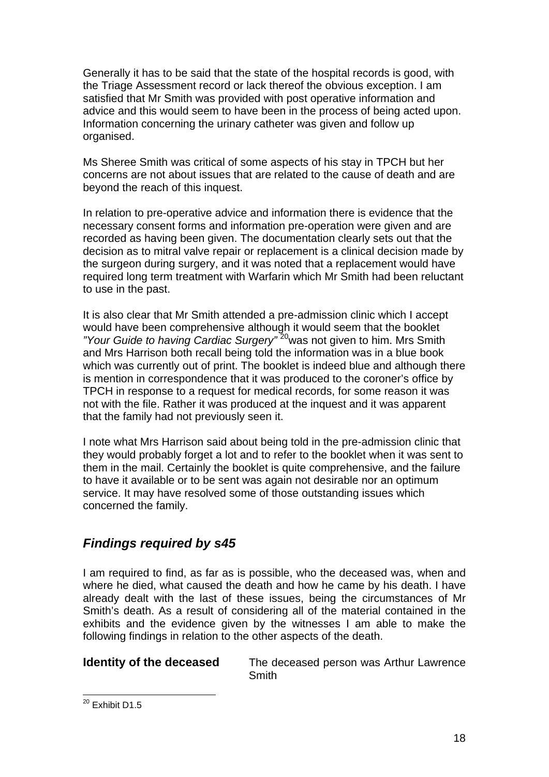Generally it has to be said that the state of the hospital records is good, with the Triage Assessment record or lack thereof the obvious exception. I am satisfied that Mr Smith was provided with post operative information and advice and this would seem to have been in the process of being acted upon. Information concerning the urinary catheter was given and follow up organised.

Ms Sheree Smith was critical of some aspects of his stay in TPCH but her concerns are not about issues that are related to the cause of death and are beyond the reach of this inquest.

In relation to pre-operative advice and information there is evidence that the necessary consent forms and information pre-operation were given and are recorded as having been given. The documentation clearly sets out that the decision as to mitral valve repair or replacement is a clinical decision made by the surgeon during surgery, and it was noted that a replacement would have required long term treatment with Warfarin which Mr Smith had been reluctant to use in the past.

It is also clear that Mr Smith attended a pre-admission clinic which I accept would have been comprehensive although it would seem that the booklet *"Your Guide to having Cardiac Surgery"* 20was not given to him. Mrs Smith and Mrs Harrison both recall being told the information was in a blue book which was currently out of print. The booklet is indeed blue and although there is mention in correspondence that it was produced to the coroner's office by TPCH in response to a request for medical records, for some reason it was not with the file. Rather it was produced at the inquest and it was apparent that the family had not previously seen it.

I note what Mrs Harrison said about being told in the pre-admission clinic that they would probably forget a lot and to refer to the booklet when it was sent to them in the mail. Certainly the booklet is quite comprehensive, and the failure to have it available or to be sent was again not desirable nor an optimum service. It may have resolved some of those outstanding issues which concerned the family.

# *Findings required by s45*

I am required to find, as far as is possible, who the deceased was, when and where he died, what caused the death and how he came by his death. I have already dealt with the last of these issues, being the circumstances of Mr Smith's death. As a result of considering all of the material contained in the exhibits and the evidence given by the witnesses I am able to make the following findings in relation to the other aspects of the death.

**Identity of the deceased** The deceased person was Arthur Lawrence **Smith** 

 $^{20}$  Exhibit D1.5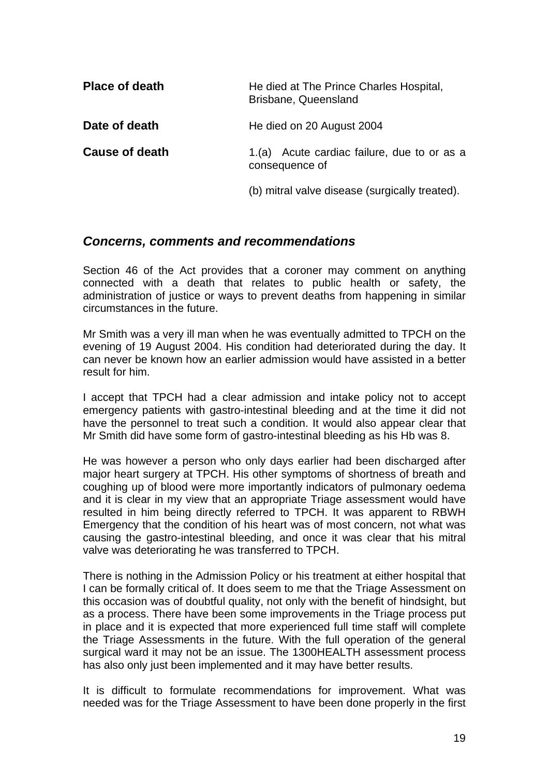| <b>Place of death</b> | He died at The Prince Charles Hospital,<br>Brisbane, Queensland |
|-----------------------|-----------------------------------------------------------------|
| Date of death         | He died on 20 August 2004                                       |
| Cause of death        | 1.(a) Acute cardiac failure, due to or as a<br>consequence of   |
|                       | (b) mitral valve disease (surgically treated).                  |

#### *Concerns, comments and recommendations*

Section 46 of the Act provides that a coroner may comment on anything connected with a death that relates to public health or safety, the administration of justice or ways to prevent deaths from happening in similar circumstances in the future.

Mr Smith was a very ill man when he was eventually admitted to TPCH on the evening of 19 August 2004. His condition had deteriorated during the day. It can never be known how an earlier admission would have assisted in a better result for him.

I accept that TPCH had a clear admission and intake policy not to accept emergency patients with gastro-intestinal bleeding and at the time it did not have the personnel to treat such a condition. It would also appear clear that Mr Smith did have some form of gastro-intestinal bleeding as his Hb was 8.

He was however a person who only days earlier had been discharged after major heart surgery at TPCH. His other symptoms of shortness of breath and coughing up of blood were more importantly indicators of pulmonary oedema and it is clear in my view that an appropriate Triage assessment would have resulted in him being directly referred to TPCH. It was apparent to RBWH Emergency that the condition of his heart was of most concern, not what was causing the gastro-intestinal bleeding, and once it was clear that his mitral valve was deteriorating he was transferred to TPCH.

There is nothing in the Admission Policy or his treatment at either hospital that I can be formally critical of. It does seem to me that the Triage Assessment on this occasion was of doubtful quality, not only with the benefit of hindsight, but as a process. There have been some improvements in the Triage process put in place and it is expected that more experienced full time staff will complete the Triage Assessments in the future. With the full operation of the general surgical ward it may not be an issue. The 1300HEALTH assessment process has also only just been implemented and it may have better results.

It is difficult to formulate recommendations for improvement. What was needed was for the Triage Assessment to have been done properly in the first